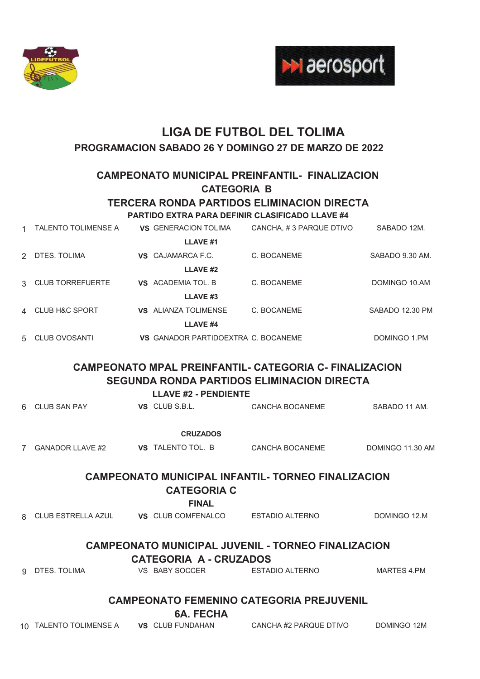



# **LIGA DE FUTBOL DEL TOLIMA PROGRAMACION SABADO 26 Y DOMINGO 27 DE MARZO DE 2022**

**CAMPEONATO MUNICIPAL PREINFANTIL- FINALIZACION CATEGORIA B** 

### **TERCERA RONDA PARTIDOS ELIMINACION DIRECTA**

#### **PARTIDO EXTRA PARA DEFINIR CLASIFICADO LLAVE #4**

|               | <b>TALENTO TOLIMENSE A</b> | <b>VS GENERACION TOLIMA</b>         | CANCHA, #3 PARQUE DTIVO | SABADO 12M.     |
|---------------|----------------------------|-------------------------------------|-------------------------|-----------------|
|               |                            | LLAVE <sub>#1</sub>                 |                         |                 |
| $\mathcal{P}$ | DTES. TOLIMA               | VS CAJAMARCA F.C.                   | C. BOCANEME             | SABADO 9.30 AM. |
|               |                            | LLAVE <sub>#2</sub>                 |                         |                 |
|               | 3 CLUB TORREFUERTE         | VS ACADEMIA TOL. B                  | C. BOCANEME             | DOMINGO 10.AM   |
|               |                            | LLAVE <sub>#3</sub>                 |                         |                 |
|               | 4 CLUB H&C SPORT           | <b>VS</b> ALIANZA TOLIMENSE         | C. BOCANEME             | SABADO 12.30 PM |
|               |                            | LLAVE <sub>#4</sub>                 |                         |                 |
| 5             | CLUB OVOSANTI              | VS GANADOR PARTIDOEXTRA C. BOCANEME |                         | DOMINGO 1.PM    |

# **CAMPEONATO MPAL PREINFANTIL- CATEGORIA C- FINALIZACION SEGUNDA RONDA PARTIDOS ELIMINACION DIRECTA**

**LLAVE #2 - PENDIENTE**

| 6 CLUB SAN PAY          | VS CLUB S.B.L.           | CANCHA BOCANEME                                           | SABADO 11 AM.    |  |  |  |
|-------------------------|--------------------------|-----------------------------------------------------------|------------------|--|--|--|
|                         | <b>CRUZADOS</b>          |                                                           |                  |  |  |  |
| <b>GANADOR LLAVE #2</b> | <b>VS</b> TALENTO TOL. B | CANCHA BOCANEME                                           | DOMINGO 11.30 AM |  |  |  |
|                         |                          | <b>CAMPEONATO MUNICIPAL INFANTIL- TORNEO FINALIZACION</b> |                  |  |  |  |
| <b>CATEGORIA C</b>      |                          |                                                           |                  |  |  |  |
|                         | <b>FINAL</b>             |                                                           |                  |  |  |  |

|                               | 8 CLUB ESTRELLA AZUL                                      |  | <b>VS</b> CLUB COMFENALCO | ESTADIO ALTERNO | DOMINGO 12.M |  |  |
|-------------------------------|-----------------------------------------------------------|--|---------------------------|-----------------|--------------|--|--|
|                               |                                                           |  |                           |                 |              |  |  |
|                               | <b>CAMPEONATO MUNICIPAL JUVENIL - TORNEO FINALIZACION</b> |  |                           |                 |              |  |  |
| <b>CATEGORIA A - CRUZADOS</b> |                                                           |  |                           |                 |              |  |  |
|                               | 9 DTES. TOLIMA                                            |  | VS BABY SOCCER            | ESTADIO ALTERNO | MARTES 4.PM  |  |  |
|                               |                                                           |  |                           |                 |              |  |  |

### **CAMPEONATO FEMENINO CATEGORIA PREJUVENIL**

**6A. FECHA** 

| CANCHA #2 PARQUE DTIVO<br>DOMINGO 12M<br>10 TALENTO TOLIMENSE A<br><b>VS</b> CLUB FUNDAHAN |
|--------------------------------------------------------------------------------------------|
|--------------------------------------------------------------------------------------------|